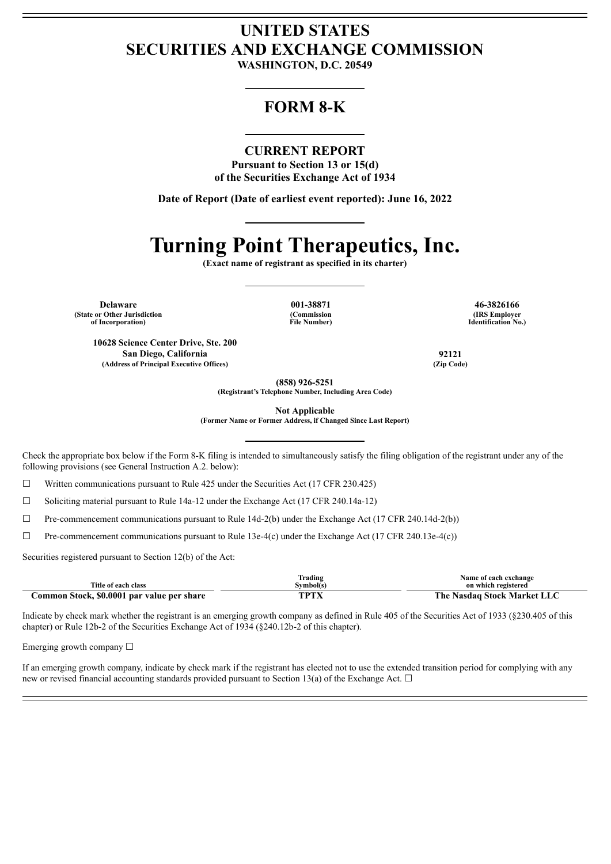## **UNITED STATES SECURITIES AND EXCHANGE COMMISSION**

**WASHINGTON, D.C. 20549**

### **FORM 8-K**

#### **CURRENT REPORT**

**Pursuant to Section 13 or 15(d) of the Securities Exchange Act of 1934**

**Date of Report (Date of earliest event reported): June 16, 2022**

# **Turning Point Therapeutics, Inc.**

**(Exact name of registrant as specified in its charter)**

**Delaware 001-38871 46-3826166 (State or Other Jurisdiction of Incorporation)**

**(Commission File Number)**

**(IRS Employer Identification No.)**

**10628 Science Center Drive, Ste. 200 San Diego, California 92121 (Address of Principal Executive Offices) (Zip Code)**

**(858) 926-5251 (Registrant's Telephone Number, Including Area Code)**

**Not Applicable**

**(Former Name or Former Address, if Changed Since Last Report)**

Check the appropriate box below if the Form 8-K filing is intended to simultaneously satisfy the filing obligation of the registrant under any of the following provisions (see General Instruction A.2. below):

 $\Box$  Written communications pursuant to Rule 425 under the Securities Act (17 CFR 230.425)

 $\Box$  Soliciting material pursuant to Rule 14a-12 under the Exchange Act (17 CFR 240.14a-12)

 $\Box$  Pre-commencement communications pursuant to Rule 14d-2(b) under the Exchange Act (17 CFR 240.14d-2(b))

 $\Box$  Pre-commencement communications pursuant to Rule 13e-4(c) under the Exchange Act (17 CFR 240.13e-4(c))

Securities registered pursuant to Section 12(b) of the Act:

|                                            | <b>Frading</b> | Name of each exchange       |
|--------------------------------------------|----------------|-----------------------------|
| Title of each class                        | Svmbol(s)      | on which registered         |
| Common Stock, \$0.0001 par value per share | TDTV           | The Nasdaq Stock Market LLC |

Indicate by check mark whether the registrant is an emerging growth company as defined in Rule 405 of the Securities Act of 1933 (§230.405 of this chapter) or Rule 12b-2 of the Securities Exchange Act of 1934 (§240.12b-2 of this chapter).

Emerging growth company  $\Box$ 

If an emerging growth company, indicate by check mark if the registrant has elected not to use the extended transition period for complying with any new or revised financial accounting standards provided pursuant to Section 13(a) of the Exchange Act.  $\Box$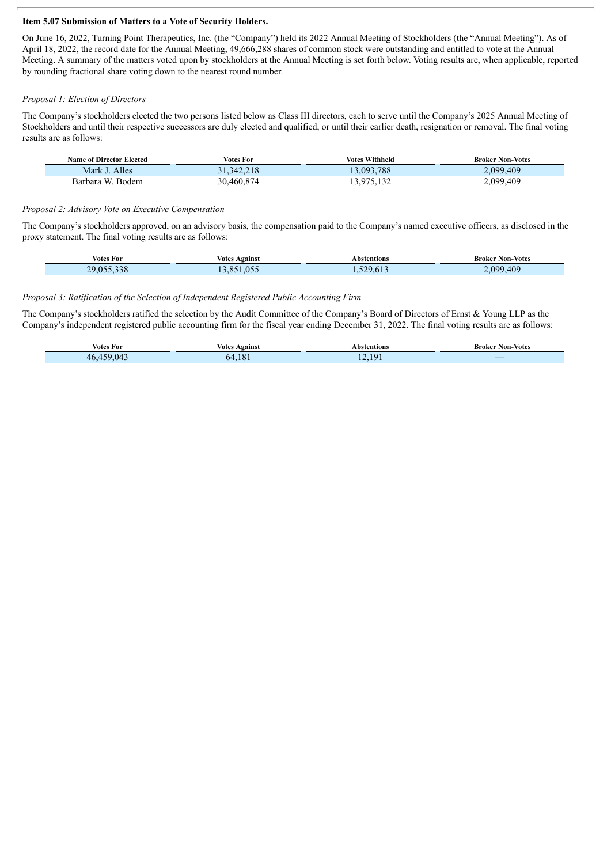#### **Item 5.07 Submission of Matters to a Vote of Security Holders.**

On June 16, 2022, Turning Point Therapeutics, Inc. (the "Company") held its 2022 Annual Meeting of Stockholders (the "Annual Meeting"). As of April 18, 2022, the record date for the Annual Meeting, 49,666,288 shares of common stock were outstanding and entitled to vote at the Annual Meeting. A summary of the matters voted upon by stockholders at the Annual Meeting is set forth below. Voting results are, when applicable, reported by rounding fractional share voting down to the nearest round number.

#### *Proposal 1: Election of Directors*

Π

The Company's stockholders elected the two persons listed below as Class III directors, each to serve until the Company's 2025 Annual Meeting of Stockholders and until their respective successors are duly elected and qualified, or until their earlier death, resignation or removal. The final voting results are as follows:

| <b>Name of Director Elected</b> | Votes For    | <b>Votes Withheld</b> | <b>Broker Non-Votes</b> |
|---------------------------------|--------------|-----------------------|-------------------------|
| Mark J. Alles                   | 31, 342, 218 | 13,093,788            | 2,099,409               |
| Barbara W. Bodem                | 30,460,874   | 13,975,132            | 2,099,409               |

#### *Proposal 2: Advisory Vote on Executive Compensation*

The Company's stockholders approved, on an advisory basis, the compensation paid to the Company's named executive officers, as disclosed in the proxy statement. The final voting results are as follows:

| Votes For  | Votes<br>Against | Abstentions | <b>Broker Non-Votes</b> |
|------------|------------------|-------------|-------------------------|
| 20 USS 338 | .055             | $-20h$      | 409                     |
|            | OC               |             | <b>090</b>              |

#### *Proposal 3: Ratification of the Selection of Independent Registered Public Accounting Firm*

The Company's stockholders ratified the selection by the Audit Committee of the Company's Board of Directors of Ernst & Young LLP as the Company's independent registered public accounting firm for the fiscal year ending December 31, 2022. The final voting results are as follows:

| . .<br><b>Votes For</b> | Against<br>votes | Abstentions   | <b>Non-Votes</b><br>Broker |
|-------------------------|------------------|---------------|----------------------------|
| $\sim$                  | 10<br>hД         | $\sqrt{2}$ 10 | _                          |